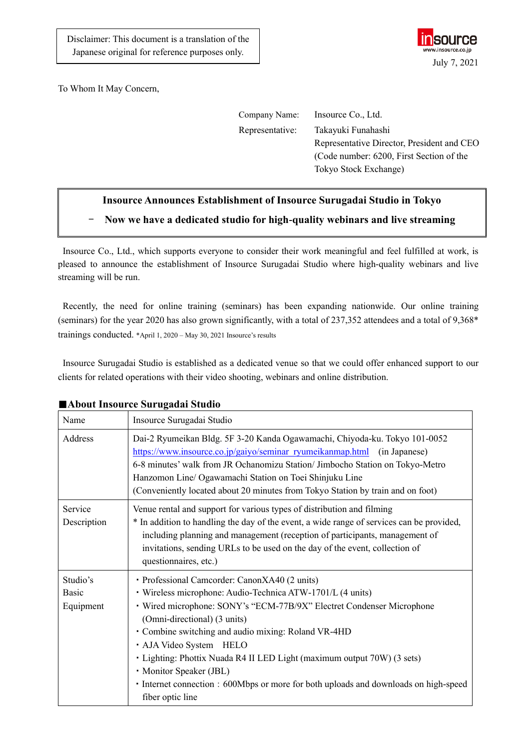

To Whom It May Concern,

| Company Name:   | Insource Co., Ltd.                         |
|-----------------|--------------------------------------------|
| Representative: | Takayuki Funahashi                         |
|                 | Representative Director, President and CEO |
|                 | (Code number: 6200, First Section of the   |
|                 | Tokyo Stock Exchange)                      |

## **Insource Announces Establishment of Insource Surugadai Studio in Tokyo**

- **Now we have a dedicated studio for high-quality webinars and live streaming** 

Insource Co., Ltd., which supports everyone to consider their work meaningful and feel fulfilled at work, is pleased to announce the establishment of Insource Surugadai Studio where high-quality webinars and live streaming will be run.

Recently, the need for online training (seminars) has been expanding nationwide. Our online training (seminars) for the year 2020 has also grown significantly, with a total of 237,352 attendees and a total of 9,368\* trainings conducted. \*April 1, 2020 – May 30, 2021 Insource's results

Insource Surugadai Studio is established as a dedicated venue so that we could offer enhanced support to our clients for related operations with their video shooting, webinars and online distribution.

| Name                                  | Insource Surugadai Studio                                                                                                                                                                                                                                                                                                                                                                                                                                                                                                |
|---------------------------------------|--------------------------------------------------------------------------------------------------------------------------------------------------------------------------------------------------------------------------------------------------------------------------------------------------------------------------------------------------------------------------------------------------------------------------------------------------------------------------------------------------------------------------|
| Address                               | Dai-2 Ryumeikan Bldg. 5F 3-20 Kanda Ogawamachi, Chiyoda-ku. Tokyo 101-0052<br>https://www.insource.co.jp/gaiyo/seminar ryumeikanmap.html (in Japanese)<br>6-8 minutes' walk from JR Ochanomizu Station/ Jimbocho Station on Tokyo-Metro<br>Hanzomon Line/ Ogawamachi Station on Toei Shinjuku Line<br>(Conveniently located about 20 minutes from Tokyo Station by train and on foot)                                                                                                                                    |
| Service<br>Description                | Venue rental and support for various types of distribution and filming<br>* In addition to handling the day of the event, a wide range of services can be provided,<br>including planning and management (reception of participants, management of<br>invitations, sending URLs to be used on the day of the event, collection of<br>questionnaires, etc.)                                                                                                                                                               |
| Studio's<br><b>Basic</b><br>Equipment | · Professional Camcorder: CanonXA40 (2 units)<br>· Wireless microphone: Audio-Technica ATW-1701/L (4 units)<br>· Wired microphone: SONY's "ECM-77B/9X" Electret Condenser Microphone<br>(Omni-directional) (3 units)<br>· Combine switching and audio mixing: Roland VR-4HD<br>· AJA Video System HELO<br>• Lighting: Phottix Nuada R4 II LED Light (maximum output 70W) (3 sets)<br>· Monitor Speaker (JBL)<br>• Internet connection : 600Mbps or more for both uploads and downloads on high-speed<br>fiber optic line |

## ■**About Insource Surugadai Studio**